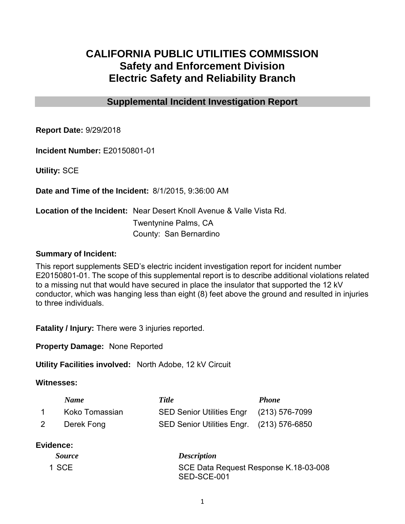# **CALIFORNIA PUBLIC UTILITIES COMMISSION Safety and Enforcement Division Electric Safety and Reliability Branch**

## **Supplemental Incident Investigation Report**

**Report Date:** 9/29/2018

**Incident Number:** E20150801-01

**Utility:** SCE

**Date and Time of the Incident:** 8/1/2015, 9:36:00 AM

**Location of the Incident:** Near Desert Knoll Avenue & Valle Vista Rd. Twentynine Palms, CA County: San Bernardino

#### **Summary of Incident:**

This report supplements SED's electric incident investigation report for incident number E20150801-01. The scope of this supplemental report is to describe additional violations related to a missing nut that would have secured in place the insulator that supported the 12 kV conductor, which was hanging less than eight (8) feet above the ground and resulted in injuries to three individuals.

**Fatality / Injury:** There were 3 injuries reported.

**Property Damage:** None Reported

**Utility Facilities involved:** North Adobe, 12 kV Circuit

#### **Witnesses:**

| <b>Name</b>    | <b>Title</b>                              | <b>Phone</b> |
|----------------|-------------------------------------------|--------------|
| Koko Tomassian | SED Senior Utilities Engr (213) 576-7099  |              |
| Derek Fong     | SED Senior Utilities Engr. (213) 576-6850 |              |

## **Evidence:**

| <i>Source</i> | <b>Description</b>                                   |
|---------------|------------------------------------------------------|
| 1 SCE         | SCE Data Request Response K.18-03-008<br>SED-SCE-001 |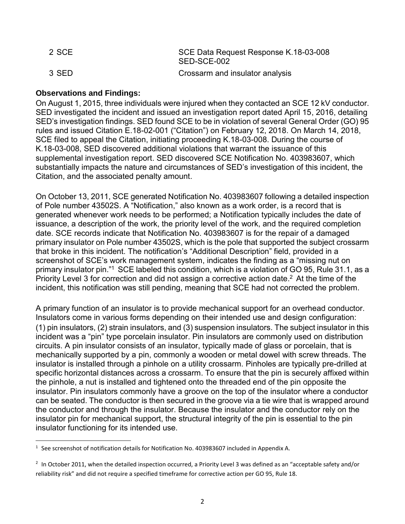| 2 SCE | SCE Data Request Response K.18-03-008<br>SED-SCE-002 |
|-------|------------------------------------------------------|
| 3 SED | Crossarm and insulator analysis                      |

### **Observations and Findings:**

On August 1, 2015, three individuals were injured when they contacted an SCE 12 kV conductor. SED investigated the incident and issued an investigation report dated April 15, 2016, detailing SED's investigation findings. SED found SCE to be in violation of several General Order (GO) 95 rules and issued Citation E.18-02-001 ("Citation") on February 12, 2018. On March 14, 2018, SCE filed to appeal the Citation, initiating proceeding K.18-03-008. During the course of K.18-03-008, SED discovered additional violations that warrant the issuance of this supplemental investigation report. SED discovered SCE Notification No. 403983607, which substantially impacts the nature and circumstances of SED's investigation of this incident, the Citation, and the associated penalty amount.

On October 13, 2011, SCE generated Notification No. 403983607 following a detailed inspection of Pole number 43502S. A "Notification," also known as a work order, is a record that is generated whenever work needs to be performed; a Notification typically includes the date of issuance, a description of the work, the priority level of the work, and the required completion date. SCE records indicate that Notification No. 403983607 is for the repair of a damaged primary insulator on Pole number 43502S, which is the pole that supported the subject crossarm that broke in this incident. The notification's "Additional Description" field, provided in a screenshot of SCE's work management system, indicates the finding as a "missing nut on primary insulator pin."<sup>1</sup> SCE labeled this condition, which is a violation of GO 95, Rule 31.1, as a Priority Level 3 for correction and did not assign a corrective action date.<sup>2</sup> At the time of the incident, this notification was still pending, meaning that SCE had not corrected the problem.

A primary function of an insulator is to provide mechanical support for an overhead conductor. Insulators come in various forms depending on their intended use and design configuration: (1) pin insulators, (2) strain insulators, and (3) suspension insulators. The subject insulator in this incident was a "pin" type porcelain insulator. Pin insulators are commonly used on distribution circuits. A pin insulator consists of an insulator, typically made of glass or porcelain, that is mechanically supported by a pin, commonly a wooden or metal dowel with screw threads. The insulator is installed through a pinhole on a utility crossarm. Pinholes are typically pre-drilled at specific horizontal distances across a crossarm. To ensure that the pin is securely affixed within the pinhole, a nut is installed and tightened onto the threaded end of the pin opposite the insulator. Pin insulators commonly have a groove on the top of the insulator where a conductor can be seated. The conductor is then secured in the groove via a tie wire that is wrapped around the conductor and through the insulator. Because the insulator and the conductor rely on the insulator pin for mechanical support, the structural integrity of the pin is essential to the pin insulator functioning for its intended use.

 $\overline{\phantom{a}}$ <sup>1</sup> See screenshot of notification details for Notification No. 403983607 included in Appendix A.

<sup>&</sup>lt;sup>2</sup> In October 2011, when the detailed inspection occurred, a Priority Level 3 was defined as an "acceptable safety and/or reliability risk" and did not require a specified timeframe for corrective action per GO 95, Rule 18.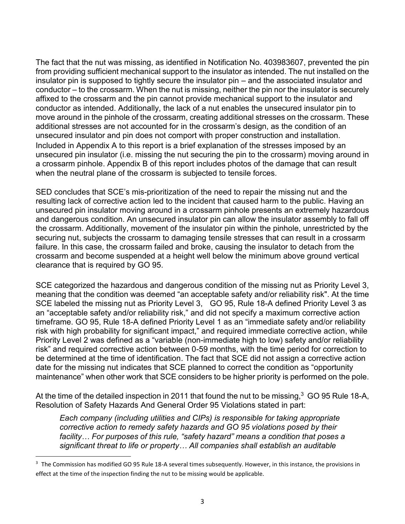The fact that the nut was missing, as identified in Notification No. 403983607, prevented the pin from providing sufficient mechanical support to the insulator as intended. The nut installed on the insulator pin is supposed to tightly secure the insulator pin – and the associated insulator and conductor – to the crossarm. When the nut is missing, neither the pin nor the insulator is securely affixed to the crossarm and the pin cannot provide mechanical support to the insulator and conductor as intended. Additionally, the lack of a nut enables the unsecured insulator pin to move around in the pinhole of the crossarm, creating additional stresses on the crossarm. These additional stresses are not accounted for in the crossarm's design, as the condition of an unsecured insulator and pin does not comport with proper construction and installation. Included in Appendix A to this report is a brief explanation of the stresses imposed by an unsecured pin insulator (i.e. missing the nut securing the pin to the crossarm) moving around in a crossarm pinhole. Appendix B of this report includes photos of the damage that can result when the neutral plane of the crossarm is subjected to tensile forces.

SED concludes that SCE's mis-prioritization of the need to repair the missing nut and the resulting lack of corrective action led to the incident that caused harm to the public. Having an unsecured pin insulator moving around in a crossarm pinhole presents an extremely hazardous and dangerous condition. An unsecured insulator pin can allow the insulator assembly to fall off the crossarm. Additionally, movement of the insulator pin within the pinhole, unrestricted by the securing nut, subjects the crossarm to damaging tensile stresses that can result in a crossarm failure. In this case, the crossarm failed and broke, causing the insulator to detach from the crossarm and become suspended at a height well below the minimum above ground vertical clearance that is required by GO 95.

SCE categorized the hazardous and dangerous condition of the missing nut as Priority Level 3, meaning that the condition was deemed "an acceptable safety and/or reliability risk". At the time SCE labeled the missing nut as Priority Level 3, GO 95, Rule 18-A defined Priority Level 3 as an "acceptable safety and/or reliability risk," and did not specify a maximum corrective action timeframe. GO 95, Rule 18-A defined Priority Level 1 as an "immediate safety and/or reliability risk with high probability for significant impact," and required immediate corrective action, while Priority Level 2 was defined as a "variable (non-immediate high to low) safety and/or reliability risk" and required corrective action between 0-59 months, with the time period for correction to be determined at the time of identification. The fact that SCE did not assign a corrective action date for the missing nut indicates that SCE planned to correct the condition as "opportunity maintenance" when other work that SCE considers to be higher priority is performed on the pole.

At the time of the detailed inspection in 2011 that found the nut to be missing, $^3\,$  GO 95 Rule 18-A, Resolution of Safety Hazards And General Order 95 Violations stated in part:

*Each company (including utilities and CIPs) is responsible for taking appropriate corrective action to remedy safety hazards and GO 95 violations posed by their facility… For purposes of this rule, "safety hazard" means a condition that poses a significant threat to life or property… All companies shall establish an auditable* 

 $\overline{\phantom{a}}$ 

<sup>&</sup>lt;sup>3</sup> The Commission has modified GO 95 Rule 18-A several times subsequently. However, in this instance, the provisions in effect at the time of the inspection finding the nut to be missing would be applicable.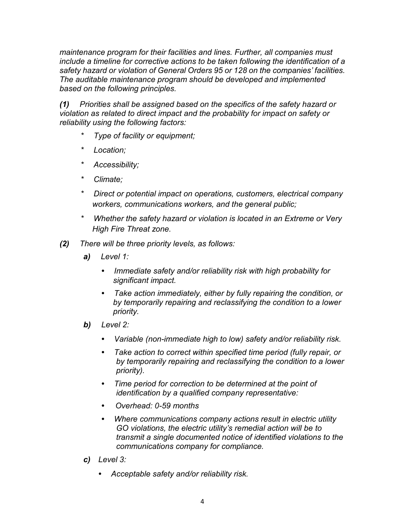*maintenance program for their facilities and lines. Further, all companies must include a timeline for corrective actions to be taken following the identification of a safety hazard or violation of General Orders 95 or 128 on the companies' facilities. The auditable maintenance program should be developed and implemented based on the following principles.* 

*(1) Priorities shall be assigned based on the specifics of the safety hazard or violation as related to direct impact and the probability for impact on safety or reliability using the following factors:* 

- *\* Type of facility or equipment;*
- *\* Location;*
- *\* Accessibility;*
- *\* Climate;*
- *\* Direct or potential impact on operations, customers, electrical company workers, communications workers, and the general public;*
- *\* Whether the safety hazard or violation is located in an Extreme or Very High Fire Threat zone.*
- *(2) There will be three priority levels, as follows:* 
	- *a) Level 1:* 
		- *• Immediate safety and/or reliability risk with high probability for significant impact.*
		- *• Take action immediately, either by fully repairing the condition, or by temporarily repairing and reclassifying the condition to a lower priority.*
	- *b) Level 2:* 
		- *• Variable (non-immediate high to low) safety and/or reliability risk.*
		- *• Take action to correct within specified time period (fully repair, or by temporarily repairing and reclassifying the condition to a lower priority).*
		- *• Time period for correction to be determined at the point of identification by a qualified company representative:*
		- *• Overhead: 0-59 months*
		- *• Where communications company actions result in electric utility GO violations, the electric utility's remedial action will be to transmit a single documented notice of identified violations to the communications company for compliance.*
	- *c) Level 3:* 
		- *• Acceptable safety and/or reliability risk.*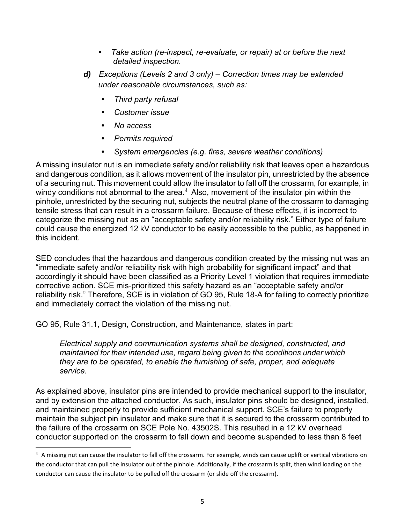- *• Take action (re-inspect, re-evaluate, or repair) at or before the next detailed inspection.*
- *d) Exceptions (Levels 2 and 3 only) Correction times may be extended under reasonable circumstances, such as:* 
	- *• Third party refusal*
	- *• Customer issue*
	- *• No access*
	- *• Permits required* 
		- *• System emergencies (e.g. fires, severe weather conditions)*

A missing insulator nut is an immediate safety and/or reliability risk that leaves open a hazardous and dangerous condition, as it allows movement of the insulator pin, unrestricted by the absence of a securing nut. This movement could allow the insulator to fall off the crossarm, for example, in windy conditions not abnormal to the area. $^4\,$  Also, movement of the insulator pin within the pinhole, unrestricted by the securing nut, subjects the neutral plane of the crossarm to damaging tensile stress that can result in a crossarm failure. Because of these effects, it is incorrect to categorize the missing nut as an "acceptable safety and/or reliability risk." Either type of failure could cause the energized 12 kV conductor to be easily accessible to the public, as happened in this incident.

SED concludes that the hazardous and dangerous condition created by the missing nut was an "immediate safety and/or reliability risk with high probability for significant impact" and that accordingly it should have been classified as a Priority Level 1 violation that requires immediate corrective action. SCE mis-prioritized this safety hazard as an "acceptable safety and/or reliability risk." Therefore, SCE is in violation of GO 95, Rule 18-A for failing to correctly prioritize and immediately correct the violation of the missing nut.

GO 95, Rule 31.1, Design, Construction, and Maintenance, states in part:

l

*Electrical supply and communication systems shall be designed, constructed, and maintained for their intended use, regard being given to the conditions under which they are to be operated, to enable the furnishing of safe, proper, and adequate service.* 

As explained above, insulator pins are intended to provide mechanical support to the insulator, and by extension the attached conductor. As such, insulator pins should be designed, installed, and maintained properly to provide sufficient mechanical support. SCE's failure to properly maintain the subject pin insulator and make sure that it is secured to the crossarm contributed to the failure of the crossarm on SCE Pole No. 43502S. This resulted in a 12 kV overhead conductor supported on the crossarm to fall down and become suspended to less than 8 feet

<sup>&</sup>lt;sup>4</sup> A missing nut can cause the insulator to fall off the crossarm. For example, winds can cause uplift or vertical vibrations on the conductor that can pull the insulator out of the pinhole. Additionally, if the crossarm is split, then wind loading on the conductor can cause the insulator to be pulled off the crossarm (or slide off the crossarm).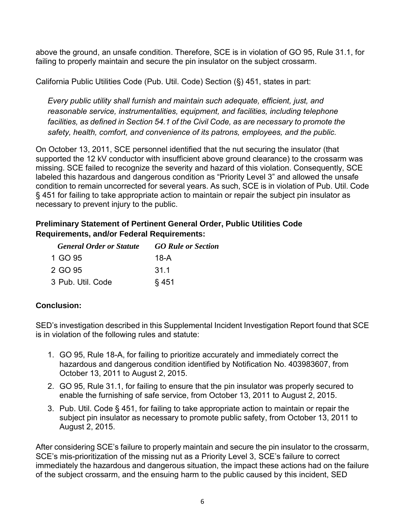above the ground, an unsafe condition. Therefore, SCE is in violation of GO 95, Rule 31.1, for failing to properly maintain and secure the pin insulator on the subject crossarm.

California Public Utilities Code (Pub. Util. Code) Section (§) 451, states in part:

*Every public utility shall furnish and maintain such adequate, efficient, just, and reasonable service, instrumentalities, equipment, and facilities, including telephone facilities, as defined in Section 54.1 of the Civil Code, as are necessary to promote the safety, health, comfort, and convenience of its patrons, employees, and the public.* 

On October 13, 2011, SCE personnel identified that the nut securing the insulator (that supported the 12 kV conductor with insufficient above ground clearance) to the crossarm was missing. SCE failed to recognize the severity and hazard of this violation. Consequently, SCE labeled this hazardous and dangerous condition as "Priority Level 3" and allowed the unsafe condition to remain uncorrected for several years. As such, SCE is in violation of Pub. Util. Code § 451 for failing to take appropriate action to maintain or repair the subject pin insulator as necessary to prevent injury to the public.

# **Preliminary Statement of Pertinent General Order, Public Utilities Code Requirements, and/or Federal Requirements:**

| <b>General Order or Statute</b> | <b>GO Rule or Section</b> |
|---------------------------------|---------------------------|
| 1 GO 95                         | 18-A                      |
| 2 GO 95                         | 31.1                      |
| 3 Pub. Util. Code               | § 451                     |

# **Conclusion:**

SED's investigation described in this Supplemental Incident Investigation Report found that SCE is in violation of the following rules and statute:

- 1. GO 95, Rule 18-A, for failing to prioritize accurately and immediately correct the hazardous and dangerous condition identified by Notification No. 403983607, from October 13, 2011 to August 2, 2015.
- 2. GO 95, Rule 31.1, for failing to ensure that the pin insulator was properly secured to enable the furnishing of safe service, from October 13, 2011 to August 2, 2015.
- 3. Pub. Util. Code § 451, for failing to take appropriate action to maintain or repair the subject pin insulator as necessary to promote public safety, from October 13, 2011 to August 2, 2015.

After considering SCE's failure to properly maintain and secure the pin insulator to the crossarm, SCE's mis-prioritization of the missing nut as a Priority Level 3, SCE's failure to correct immediately the hazardous and dangerous situation, the impact these actions had on the failure of the subject crossarm, and the ensuing harm to the public caused by this incident, SED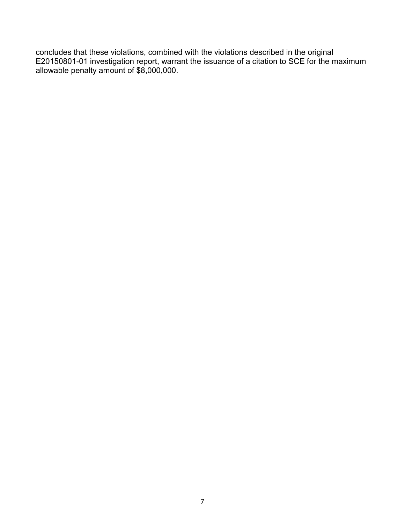concludes that these violations, combined with the violations described in the original E20150801-01 investigation report, warrant the issuance of a citation to SCE for the maximum allowable penalty amount of \$8,000,000.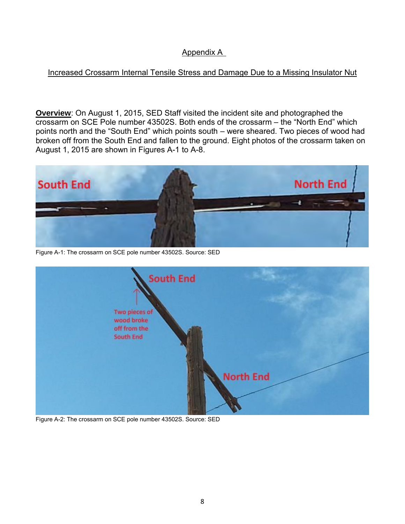## Appendix A

## Increased Crossarm Internal Tensile Stress and Damage Due to a Missing Insulator Nut

**Overview**: On August 1, 2015, SED Staff visited the incident site and photographed the crossarm on SCE Pole number 43502S. Both ends of the crossarm – the "North End" which points north and the "South End" which points south – were sheared. Two pieces of wood had broken off from the South End and fallen to the ground. Eight photos of the crossarm taken on August 1, 2015 are shown in Figures A-1 to A-8.



Figure A-1: The crossarm on SCE pole number 43502S. Source: SED



Figure A-2: The crossarm on SCE pole number 43502S. Source: SED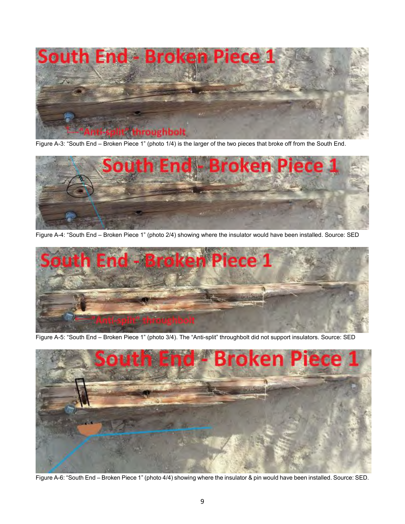

Figure A-3: "South End – Broken Piece 1" (photo 1/4) is the larger of the two pieces that broke off from the South End.



Figure A-4: "South End – Broken Piece 1" (photo 2/4) showing where the insulator would have been installed. Source: SED



Figure A-5: "South End – Broken Piece 1" (photo 3/4). The "Anti-split" throughbolt did not support insulators. Source: SED



Figure A-6: "South End – Broken Piece 1" (photo 4/4) showing where the insulator & pin would have been installed. Source: SED.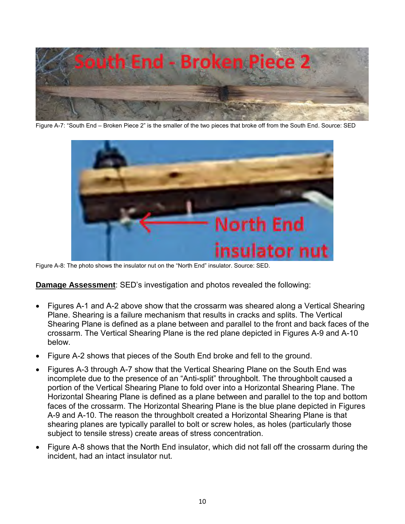

Figure A-7: "South End – Broken Piece 2" is the smaller of the two pieces that broke off from the South End. Source: SED



Figure A-8: The photo shows the insulator nut on the "North End" insulator. Source: SED.

**Damage Assessment**: SED's investigation and photos revealed the following:

- Figures A-1 and A-2 above show that the crossarm was sheared along a Vertical Shearing Plane. Shearing is a failure mechanism that results in cracks and splits. The Vertical Shearing Plane is defined as a plane between and parallel to the front and back faces of the crossarm. The Vertical Shearing Plane is the red plane depicted in Figures A-9 and A-10 below.
- Figure A-2 shows that pieces of the South End broke and fell to the ground.
- Figures A-3 through A-7 show that the Vertical Shearing Plane on the South End was incomplete due to the presence of an "Anti-split" throughbolt. The throughbolt caused a portion of the Vertical Shearing Plane to fold over into a Horizontal Shearing Plane. The Horizontal Shearing Plane is defined as a plane between and parallel to the top and bottom faces of the crossarm. The Horizontal Shearing Plane is the blue plane depicted in Figures A-9 and A-10. The reason the throughbolt created a Horizontal Shearing Plane is that shearing planes are typically parallel to bolt or screw holes, as holes (particularly those subject to tensile stress) create areas of stress concentration.
- Figure A-8 shows that the North End insulator, which did not fall off the crossarm during the incident, had an intact insulator nut.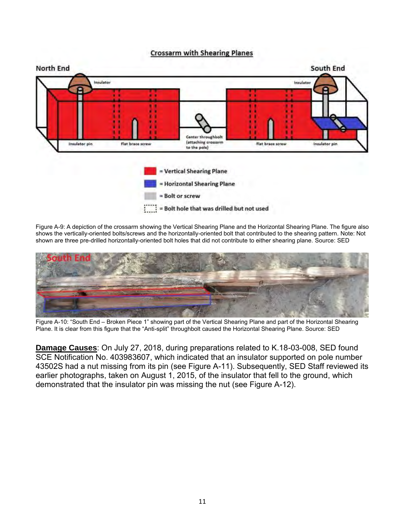



Figure A-9: A depiction of the crossarm showing the Vertical Shearing Plane and the Horizontal Shearing Plane. The figure also shows the vertically-oriented bolts/screws and the horizontally-oriented bolt that contributed to the shearing pattern. Note: Not shown are three pre-drilled horizontally-oriented bolt holes that did not contribute to either shearing plane. Source: SED



Figure A-10: "South End – Broken Piece 1" showing part of the Vertical Shearing Plane and part of the Horizontal Shearing Plane. It is clear from this figure that the "Anti-split" throughbolt caused the Horizontal Shearing Plane. Source: SED

**Damage Causes**: On July 27, 2018, during preparations related to K.18-03-008, SED found SCE Notification No. 403983607, which indicated that an insulator supported on pole number 43502S had a nut missing from its pin (see Figure A-11). Subsequently, SED Staff reviewed its earlier photographs, taken on August 1, 2015, of the insulator that fell to the ground, which demonstrated that the insulator pin was missing the nut (see Figure A-12).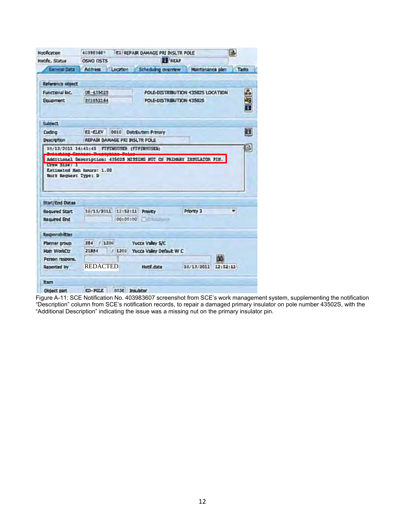| Notar Status                                                                                                                | OSNO DSTS                        |          | <b>El</b> REAP                       | <b>E1 REPAIR DAMAGE PRI INSLTR POLE</b> | B        |
|-----------------------------------------------------------------------------------------------------------------------------|----------------------------------|----------|--------------------------------------|-----------------------------------------|----------|
| General Data                                                                                                                |                                  |          | Address Location Scheduling overview | Maintenance plan                        | Tadra    |
| Reference obsect                                                                                                            |                                  |          |                                      |                                         |          |
| Functional loc.                                                                                                             | 08-435025                        |          |                                      | POLE-DISTRIBUTION 43502S LOCATION       |          |
| Equament                                                                                                                    | 201052164                        |          | POLE-DISTRIBUTION 43502S             |                                         | 出品品      |
| <b>Subject</b>                                                                                                              |                                  |          |                                      |                                         |          |
| Coding                                                                                                                      | E2-ELEV 0010 Detribution Primary |          |                                      |                                         | E        |
| <b>Description</b>                                                                                                          | REPAIR DAHAGE PRI INSLTR POLE    |          |                                      |                                         |          |
| <b>Work Request Type: D</b>                                                                                                 |                                  |          |                                      |                                         |          |
|                                                                                                                             |                                  |          |                                      |                                         |          |
|                                                                                                                             |                                  |          |                                      |                                         | ۰        |
|                                                                                                                             | 10/13/2011 12:52:11              | 00:00:00 | <b>Previty</b><br><b>F</b> Breskdown | Priority 3                              |          |
|                                                                                                                             |                                  |          |                                      |                                         |          |
|                                                                                                                             | 284 / 1200                       |          | <b>Yucca Valley S/C</b>              |                                         |          |
| <b>Start/End Dates</b><br><b>Required Start</b><br><b>Required End</b><br>Responsibilities<br>Planner group<br>Main WorkCtr | 21384                            |          | / 1200 Yucca Valley Default W C      |                                         |          |
| Person respons.                                                                                                             |                                  |          |                                      |                                         | M        |
|                                                                                                                             | <b>REDACTED</b>                  |          | Note, data                           | 10/13/2011                              | 12:52:11 |
| <b>Reported by</b><br><b>Rem</b>                                                                                            |                                  |          |                                      |                                         |          |

Figure A-11: SCE Notification No. 403983607 screenshot from SCE's work management system, supplementing the notification "Description" column from SCE's notification records, to repair a damaged primary insulator on pole number 43502S, with the "Additional Description" indicating the issue was a missing nut on the primary insulator pin.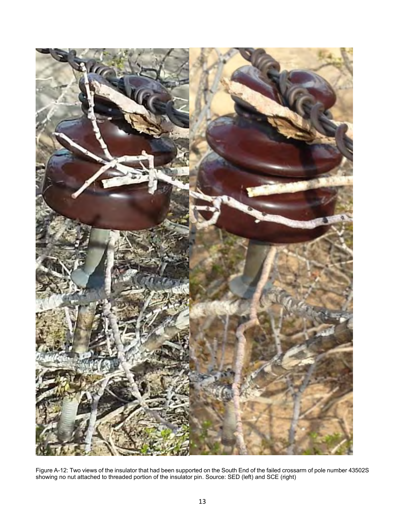

Figure A-12: Two views of the insulator that had been supported on the South End of the failed crossarm of pole number 43502S showing no nut attached to threaded portion of the insulator pin. Source: SED (left) and SCE (right)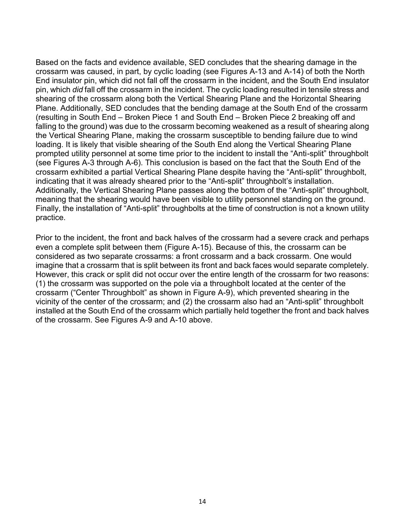Based on the facts and evidence available, SED concludes that the shearing damage in the crossarm was caused, in part, by cyclic loading (see Figures A-13 and A-14) of both the North End insulator pin, which did not fall off the crossarm in the incident, and the South End insulator pin, which *did* fall off the crossarm in the incident. The cyclic loading resulted in tensile stress and shearing of the crossarm along both the Vertical Shearing Plane and the Horizontal Shearing Plane. Additionally, SED concludes that the bending damage at the South End of the crossarm (resulting in South End – Broken Piece 1 and South End – Broken Piece 2 breaking off and falling to the ground) was due to the crossarm becoming weakened as a result of shearing along the Vertical Shearing Plane, making the crossarm susceptible to bending failure due to wind loading. It is likely that visible shearing of the South End along the Vertical Shearing Plane prompted utility personnel at some time prior to the incident to install the "Anti-split" throughbolt (see Figures A-3 through A-6). This conclusion is based on the fact that the South End of the crossarm exhibited a partial Vertical Shearing Plane despite having the "Anti-split" throughbolt, indicating that it was already sheared prior to the "Anti-split" throughbolt's installation. Additionally, the Vertical Shearing Plane passes along the bottom of the "Anti-split" throughbolt, meaning that the shearing would have been visible to utility personnel standing on the ground. Finally, the installation of "Anti-split" throughbolts at the time of construction is not a known utility practice.

Prior to the incident, the front and back halves of the crossarm had a severe crack and perhaps even a complete split between them (Figure A-15). Because of this, the crossarm can be considered as two separate crossarms: a front crossarm and a back crossarm. One would imagine that a crossarm that is split between its front and back faces would separate completely. However, this crack or split did not occur over the entire length of the crossarm for two reasons: (1) the crossarm was supported on the pole via a throughbolt located at the center of the crossarm ("Center Throughbolt" as shown in Figure A-9), which prevented shearing in the vicinity of the center of the crossarm; and (2) the crossarm also had an "Anti-split" throughbolt installed at the South End of the crossarm which partially held together the front and back halves of the crossarm. See Figures A-9 and A-10 above.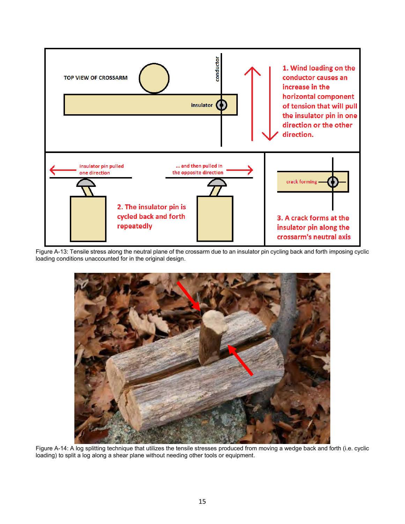

Figure A-13: Tensile stress along the neutral plane of the crossarm due to an insulator pin cycling back and forth imposing cyclic loading conditions unaccounted for in the original design.



Figure A-14: A log splitting technique that utilizes the tensile stresses produced from moving a wedge back and forth (i.e. cyclic loading) to split a log along a shear plane without needing other tools or equipment.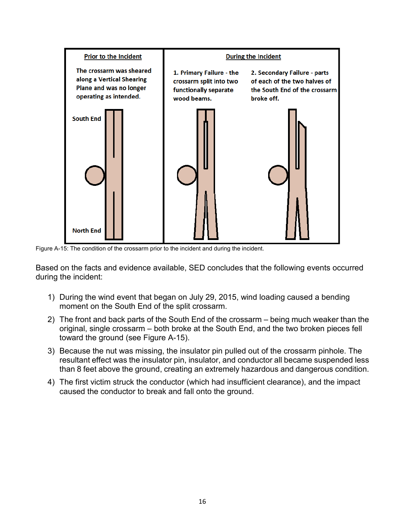

Figure A-15: The condition of the crossarm prior to the incident and during the incident.

Based on the facts and evidence available, SED concludes that the following events occurred during the incident:

- 1) During the wind event that began on July 29, 2015, wind loading caused a bending moment on the South End of the split crossarm.
- 2) The front and back parts of the South End of the crossarm being much weaker than the original, single crossarm – both broke at the South End, and the two broken pieces fell toward the ground (see Figure A-15).
- 3) Because the nut was missing, the insulator pin pulled out of the crossarm pinhole. The resultant effect was the insulator pin, insulator, and conductor all became suspended less than 8 feet above the ground, creating an extremely hazardous and dangerous condition.
- 4) The first victim struck the conductor (which had insufficient clearance), and the impact caused the conductor to break and fall onto the ground.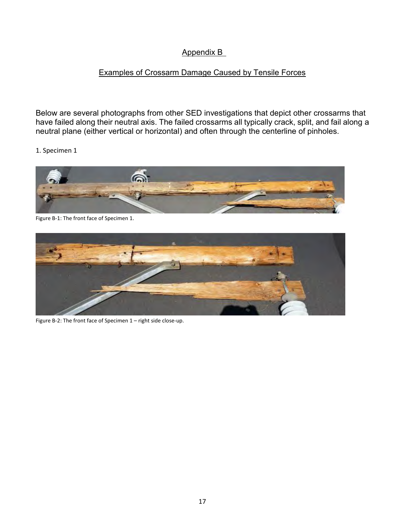## Appendix B

## Examples of Crossarm Damage Caused by Tensile Forces

Below are several photographs from other SED investigations that depict other crossarms that have failed along their neutral axis. The failed crossarms all typically crack, split, and fail along a neutral plane (either vertical or horizontal) and often through the centerline of pinholes.



Figure B-1: The front face of Specimen 1.



Figure B-2: The front face of Specimen 1 – right side close-up.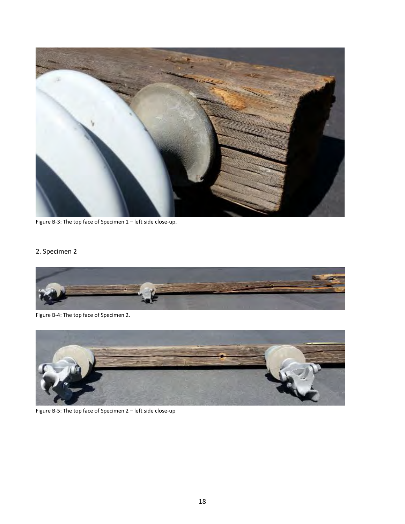

Figure B-3: The top face of Specimen 1 – left side close-up.



Figure B-4: The top face of Specimen 2.



Figure B-5: The top face of Specimen 2 – left side close-up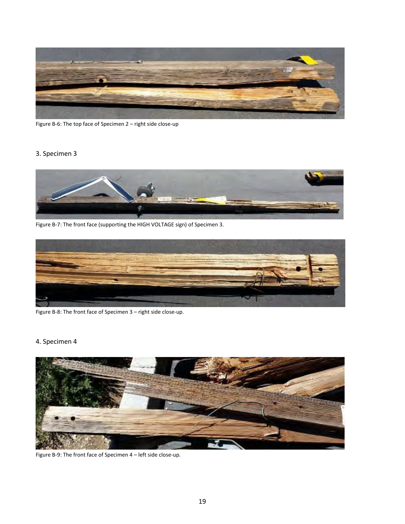

Figure B-6: The top face of Specimen 2 – right side close-up

#### 3. Specimen 3



Figure B-7: The front face (supporting the HIGH VOLTAGE sign) of Specimen 3.



Figure B-8: The front face of Specimen 3 – right side close-up.



Figure B-9: The front face of Specimen 4 – left side close-up.